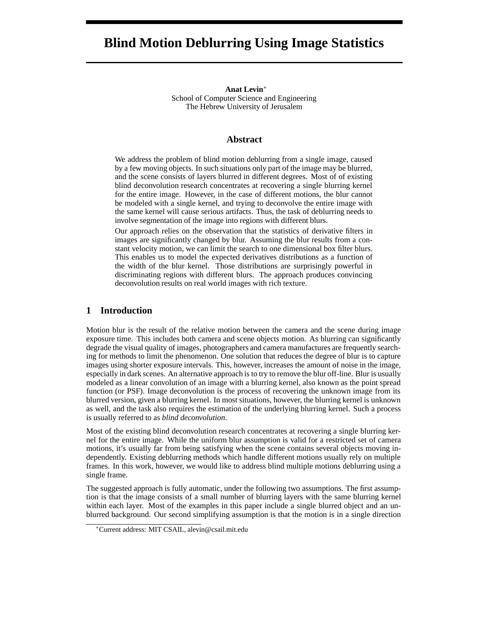# **Blind Motion Deblurring Using Image Statistics**

**Anat Levin**∗ School of Computer Science and Engineering The Hebrew University of Jerusalem

## **Abstract**

We address the problem of blind motion deblurring from a single image, caused by a few moving objects. In such situations only part of the image may be blurred, and the scene consists of layers blurred in different degrees. Most of of existing blind deconvolution research concentrates at recovering a single blurring kernel for the entire image. However, in the case of different motions, the blur cannot be modeled with a single kernel, and trying to deconvolve the entire image with the same kernel will cause serious artifacts. Thus, the task of deblurring needs to involve segmentation of the image into regions with different blurs.

Our approach relies on the observation that the statistics of derivative filters in images are significantly changed by blur. Assuming the blur results from a constant velocity motion, we can limit the search to one dimensional box filter blurs. This enables us to model the expected derivatives distributions as a function of the width of the blur kernel. Those distributions are surprisingly powerful in discriminating regions with different blurs. The approach produces convincing deconvolution results on real world images with rich texture.

## **1 Introduction**

Motion blur is the result of the relative motion between the camera and the scene during image exposure time. This includes both camera and scene objects motion. As blurring can significantly degrade the visual quality of images, photographers and camera manufactures are frequently searching for methods to limit the phenomenon. One solution that reduces the degree of blur is to capture images using shorter exposure intervals. This, however, increases the amount of noise in the image, especially in dark scenes. An alternative approach is to try to remove the blur off-line. Blur is usually modeled as a linear convolution of an image with a blurring kernel, also known as the point spread function (or PSF). Image deconvolution is the process of recovering the unknown image from its blurred version, given a blurring kernel. In most situations, however, the blurring kernel is unknown as well, and the task also requires the estimation of the underlying blurring kernel. Such a process is usually referred to as *blind deconvolution*.

Most of the existing blind deconvolution research concentrates at recovering a single blurring kernel for the entire image. While the uniform blur assumption is valid for a restricted set of camera motions, it's usually far from being satisfying when the scene contains several objects moving independently. Existing deblurring methods which handle different motions usually rely on multiple frames. In this work, however, we would like to address blind multiple motions deblurring using a single frame.

The suggested approach is fully automatic, under the following two assumptions. The first assumption is that the image consists of a small number of blurring layers with the same blurring kernel within each layer. Most of the examples in this paper include a single blurred object and an unblurred background. Our second simplifying assumption is that the motion is in a single direction

<sup>∗</sup>Current address: MIT CSAIL, alevin@csail.mit.edu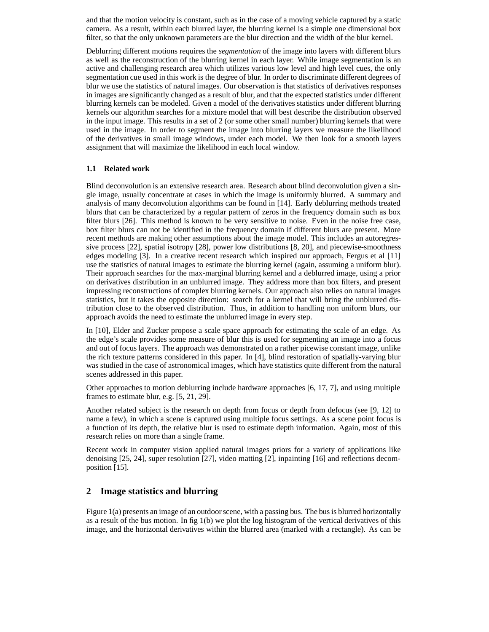and that the motion velocity is constant, such as in the case of a moving vehicle captured by a static camera. As a result, within each blurred layer, the blurring kernel is a simple one dimensional box filter, so that the only unknown parameters are the blur direction and the width of the blur kernel.

Deblurring different motions requires the *segmentation* of the image into layers with different blurs as well as the reconstruction of the blurring kernel in each layer. While image segmentation is an active and challenging research area which utilizes various low level and high level cues, the only segmentation cue used in this work is the degree of blur. In order to discriminate different degrees of blur we use the statistics of natural images. Our observation is that statistics of derivatives responses in images are significantly changed as a result of blur, and that the expected statistics under different blurring kernels can be modeled. Given a model of the derivatives statistics under different blurring kernels our algorithm searches for a mixture model that will best describe the distribution observed in the input image. This results in a set of 2 (or some other small number) blurring kernels that were used in the image. In order to segment the image into blurring layers we measure the likelihood of the derivatives in small image windows, under each model. We then look for a smooth layers assignment that will maximize the likelihood in each local window.

### **1.1 Related work**

Blind deconvolution is an extensive research area. Research about blind deconvolution given a single image, usually concentrate at cases in which the image is uniformly blurred. A summary and analysis of many deconvolution algorithms can be found in [14]. Early deblurring methods treated blurs that can be characterized by a regular pattern of zeros in the frequency domain such as box filter blurs [26]. This method is known to be very sensitive to noise. Even in the noise free case, box filter blurs can not be identified in the frequency domain if different blurs are present. More recent methods are making other assumptions about the image model. This includes an autoregressive process [22], spatial isotropy [28], power low distributions [8, 20], and piecewise-smoothness edges modeling [3]. In a creative recent research which inspired our approach, Fergus et al [11] use the statistics of natural images to estimate the blurring kernel (again, assuming a uniform blur). Their approach searches for the max-marginal blurring kernel and a deblurred image, using a prior on derivatives distribution in an unblurred image. They address more than box filters, and present impressing reconstructions of complex blurring kernels. Our approach also relies on natural images statistics, but it takes the opposite direction: search for a kernel that will bring the unblurred distribution close to the observed distribution. Thus, in addition to handling non uniform blurs, our approach avoids the need to estimate the unblurred image in every step.

In [10], Elder and Zucker propose a scale space approach for estimating the scale of an edge. As the edge's scale provides some measure of blur this is used for segmenting an image into a focus and out of focus layers. The approach was demonstrated on a rather picewise constant image, unlike the rich texture patterns considered in this paper. In [4], blind restoration of spatially-varying blur was studied in the case of astronomical images, which have statistics quite different from the natural scenes addressed in this paper.

Other approaches to motion deblurring include hardware approaches [6, 17, 7], and using multiple frames to estimate blur, e.g. [5, 21, 29].

Another related subject is the research on depth from focus or depth from defocus (see [9, 12] to name a few), in which a scene is captured using multiple focus settings. As a scene point focus is a function of its depth, the relative blur is used to estimate depth information. Again, most of this research relies on more than a single frame.

Recent work in computer vision applied natural images priors for a variety of applications like denoising [25, 24], super resolution [27], video matting [2], inpainting [16] and reflections decomposition [15].

# **2 Image statistics and blurring**

Figure 1(a) presents an image of an outdoor scene, with a passing bus. The bus is blurred horizontally as a result of the bus motion. In fig 1(b) we plot the log histogram of the vertical derivatives of this image, and the horizontal derivatives within the blurred area (marked with a rectangle). As can be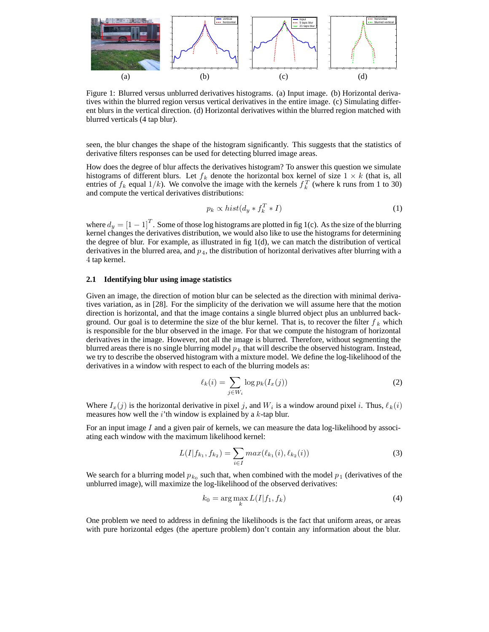

Figure 1: Blurred versus unblurred derivatives histograms. (a) Input image. (b) Horizontal derivatives within the blurred region versus vertical derivatives in the entire image. (c) Simulating different blurs in the vertical direction. (d) Horizontal derivatives within the blurred region matched with blurred verticals (4 tap blur).

seen, the blur changes the shape of the histogram significantly. This suggests that the statistics of derivative filters responses can be used for detecting blurred image areas.

How does the degree of blur affects the derivatives histogram? To answer this question we simulate histograms of different blurs. Let  $f_k$  denote the horizontal box kernel of size  $1 \times k$  (that is, all entries of  $f_k$  equal  $1/k$ ). We convolve the image with the kernels  $f_k^T$  (where k runs from 1 to 30) and compute the vertical derivatives distributions: and compute the vertical derivatives distributions:

$$
p_k \propto hist(d_y * f_k^T * I) \tag{1}
$$

where  $d_y = \begin{bmatrix} 1 & -1 \end{bmatrix}^T$ . Some of those log histograms are plotted in fig 1(c). As the size of the blurring kernel changes the derivatives distribution, we would also like to use the histograms for determining the degree of blur. For example, as illustrated in fig 1(d), we can match the distribution of vertical derivatives in the blurred area, and  $p_4$ , the distribution of horizontal derivatives after blurring with a 4 tap kernel.

#### **2.1 Identifying blur using image statistics**

Given an image, the direction of motion blur can be selected as the direction with minimal derivatives variation, as in [28]. For the simplicity of the derivation we will assume here that the motion direction is horizontal, and that the image contains a single blurred object plus an unblurred background. Our goal is to determine the size of the blur kernel. That is, to recover the filter  $f_k$  which is responsible for the blur observed in the image. For that we compute the histogram of horizontal derivatives in the image. However, not all the image is blurred. Therefore, without segmenting the blurred areas there is no single blurring model  $p_k$  that will describe the observed histogram. Instead, we try to describe the observed histogram with a mixture model. We define the log-likelihood of the derivatives in a window with respect to each of the blurring models as:

$$
\ell_k(i) = \sum_{j \in W_i} \log p_k(I_x(j)) \tag{2}
$$

Where  $I_x(j)$  is the horizontal derivative in pixel j, and  $W_i$  is a window around pixel i. Thus,  $\ell_k(i)$  measures how well the *i*'th window is explained by a *k*-tap blur measures how well the  $i'$ th window is explained by a  $k$ -tap blur.

For an input image  $I$  and a given pair of kernels, we can measure the data log-likelihood by associating each window with the maximum likelihood kernel:

$$
L(I|f_{k_1}, f_{k_2}) = \sum_{i \in I} max(\ell_{k_1}(i), \ell_{k_2}(i))
$$
\n(3)

We search for a blurring model  $p_{k_0}$  such that, when combined with the model  $p_1$  (derivatives of the unblurred image), will maximize the log-likelihood of the observed derivatives:

$$
k_0 = \arg\max_k L(I|f_1, f_k)
$$
\n(4)

One problem we need to address in defining the likelihoods is the fact that uniform areas, or areas with pure horizontal edges (the aperture problem) don't contain any information about the blur.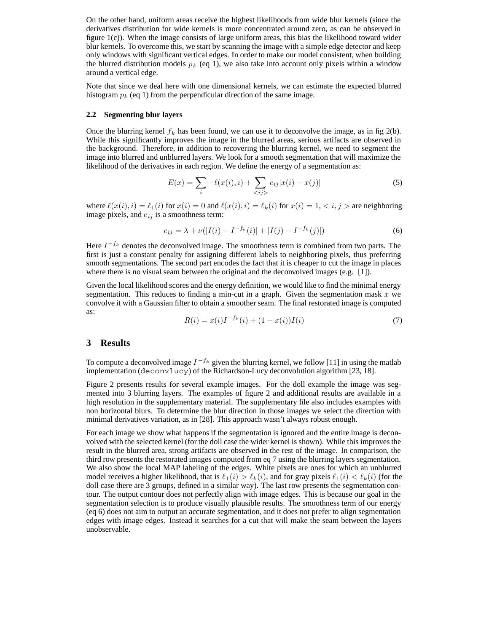On the other hand, uniform areas receive the highest likelihoods from wide blur kernels (since the derivatives distribution for wide kernels is more concentrated around zero, as can be observed in figure 1(c)). When the image consists of large uniform areas, this bias the likelihood toward wider blur kernels. To overcome this, we start by scanning the image with a simple edge detector and keep only windows with significant vertical edges. In order to make our model consistent, when building the blurred distribution models  $p_k$  (eq 1), we also take into account only pixels within a window around a vertical edge.

Note that since we deal here with one dimensional kernels, we can estimate the expected blurred histogram p*<sup>k</sup>* (eq 1) from the perpendicular direction of the same image.

#### **2.2 Segmenting blur layers**

Once the blurring kernel  $f_k$  has been found, we can use it to deconvolve the image, as in fig 2(b). While this significantly improves the image in the blurred areas, serious artifacts are observed in the background. Therefore, in addition to recovering the blurring kernel, we need to segment the image into blurred and unblurred layers. We look for a smooth segmentation that will maximize the likelihood of the derivatives in each region. We define the energy of a segmentation as:

$$
E(x) = \sum_{i} -\ell(x(i), i) + \sum_{\langle i j \rangle} e_{ij} |x(i) - x(j)| \tag{5}
$$

where  $\ell(x(i), i) = \ell_1(i)$  for  $x(i) = 0$  and  $\ell(x(i), i) = \ell_k(i)$  for  $x(i) = 1, \langle i, j \rangle$  are neighboring image pixels and  $\ell_{i,j}$  is a smoothness term: image pixels, and e*ij* is a smoothness term:

$$
e_{ij} = \lambda + \nu(|I(i) - I^{-f_k}(i)| + |I(j) - I^{-f_k}(j)|)
$$
\n(6)

Here  $I^{-f_k}$  denotes the deconvolved image. The smoothness term is combined from two parts. The first is just a constant penalty for assigning different labels to neighboring pixels, thus preferring smooth segmentations. The second part encodes the fact that it is cheaper to cut the image in places where there is no visual seam between the original and the deconvolved images (e.g. [1]).

Given the local likelihood scores and the energy definition, we would like to find the minimal energy segmentation. This reduces to finding a min-cut in a graph. Given the segmentation mask  $x$  we convolve it with a Gaussian filter to obtain a smoother seam. The final restorated image is computed as:

$$
R(i) = x(i)I^{-f_k}(i) + (1 - x(i))I(i)
$$
\n(7)

# **3 Results**

To compute a deconvolved image  $I^{-f_k}$  given the blurring kernel, we follow [11] in using the matlab implementation (deconvlucy) of the Richardson-Lucy deconvolution algorithm [23, 18].

Figure 2 presents results for several example images. For the doll example the image was segmented into 3 blurring layers. The examples of figure 2 and additional results are available in a high resolution in the supplementary material. The supplementary file also includes examples with non horizontal blurs. To determine the blur direction in those images we select the direction with minimal derivatives variation, as in [28]. This approach wasn't always robust enough.

For each image we show what happens if the segmentation is ignored and the entire image is deconvolved with the selected kernel (for the doll case the wider kernel is shown). While this improves the result in the blurred area, strong artifacts are observed in the rest of the image. In comparison, the third row presents the restorated images computed from eq 7 using the blurring layers segmentation. We also show the local MAP labeling of the edges. White pixels are ones for which an unblurred model receives a higher likelihood, that is  $\ell_1(i) > \ell_k(i)$ , and for gray pixels  $\ell_1(i) < \ell_k(i)$  (for the doll case there are 3 groups defined in a similar way). The last row presents the segmentation condoll case there are 3 groups, defined in a similar way). The last row presents the segmentation contour. The output contour does not perfectly align with image edges. This is because our goal in the segmentation selection is to produce visually plausible results. The smoothness term of our energy (eq 6) does not aim to output an accurate segmentation, and it does not prefer to align segmentation edges with image edges. Instead it searches for a cut that will make the seam between the layers unobservable.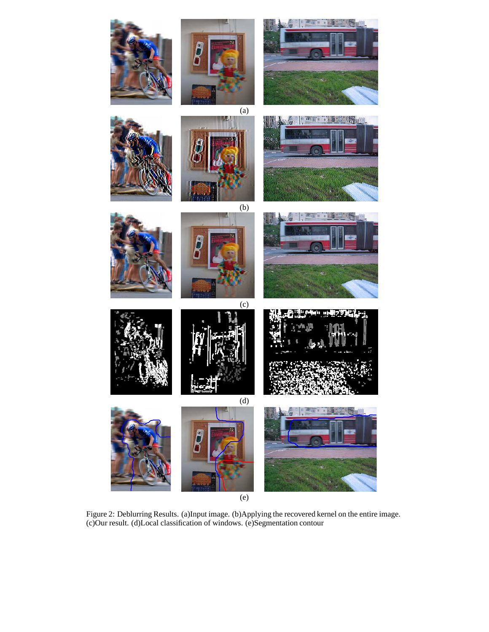

Figure 2: Deblurring Results. (a)Input image. (b)Applying the recovered kernel on the entire image. (c)Our result. (d)Local classification of windows. (e)Segmentation contour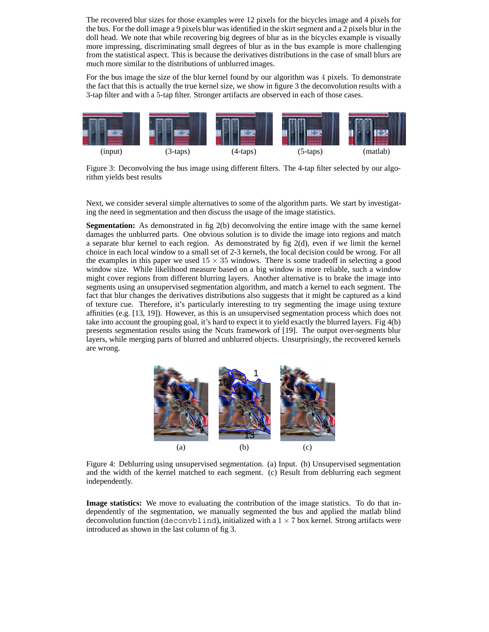The recovered blur sizes for those examples were 12 pixels for the bicycles image and 4 pixels for the bus. For the doll image a 9 pixels blur was identified in the skirt segment and a 2 pixels blur in the doll head. We note that while recovering big degrees of blur as in the bicycles example is visually more impressing, discriminating small degrees of blur as in the bus example is more challenging from the statistical aspect. This is because the derivatives distributions in the case of small blurs are much more similar to the distributions of unblurred images.

For the bus image the size of the blur kernel found by our algorithm was 4 pixels. To demonstrate the fact that this is actually the true kernel size, we show in figure 3 the deconvolution results with a 3-tap filter and with a 5-tap filter. Stronger artifacts are observed in each of those cases.



Figure 3: Deconvolving the bus image using different filters. The 4-tap filter selected by our algorithm yields best results

Next, we consider several simple alternatives to some of the algorithm parts. We start by investigating the need in segmentation and then discuss the usage of the image statistics.

**Segmentation:** As demonstrated in fig 2(b) deconvolving the entire image with the same kernel damages the unblurred parts. One obvious solution is to divide the image into regions and match a separate blur kernel to each region. As demonstrated by fig  $2(d)$ , even if we limit the kernel choice in each local window to a small set of 2-3 kernels, the local decision could be wrong. For all the examples in this paper we used  $15 \times 35$  windows. There is some tradeoff in selecting a good window size. While likelihood measure based on a big window is more reliable, such a window might cover regions from different blurring layers. Another alternative is to brake the image into segments using an unsupervised segmentation algorithm, and match a kernel to each segment. The fact that blur changes the derivatives distributions also suggests that it might be captured as a kind of texture cue. Therefore, it's particularly interesting to try segmenting the image using texture affinities (e.g. [13, 19]). However, as this is an unsupervised segmentation process which does not take into account the grouping goal, it's hard to expect it to yield exactly the blurred layers. Fig 4(b) presents segmentation results using the Ncuts framework of [19]. The output over-segments blur layers, while merging parts of blurred and unblurred objects. Unsurprisingly, the recovered kernels are wrong.



Figure 4: Deblurring using unsupervised segmentation. (a) Input. (b) Unsupervised segmentation and the width of the kernel matched to each segment. (c) Result from deblurring each segment independently.

**Image statistics:** We move to evaluating the contribution of the image statistics. To do that independently of the segmentation, we manually segmented the bus and applied the matlab blind deconvolution function (deconvblind), initialized with a  $1 \times 7$  box kernel. Strong artifacts were introduced as shown in the last column of fig 3.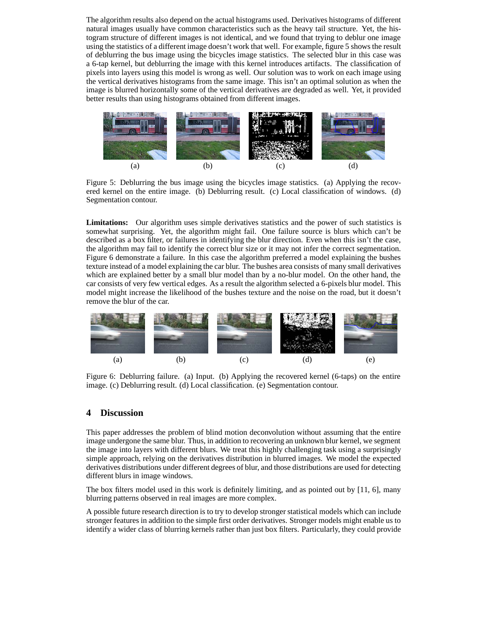The algorithm results also depend on the actual histograms used. Derivatives histograms of different natural images usually have common characteristics such as the heavy tail structure. Yet, the histogram structure of different images is not identical, and we found that trying to deblur one image using the statistics of a different image doesn't work that well. For example, figure 5 shows the result of deblurring the bus image using the bicycles image statistics. The selected blur in this case was a 6-tap kernel, but deblurring the image with this kernel introduces artifacts. The classification of pixels into layers using this model is wrong as well. Our solution was to work on each image using the vertical derivatives histograms from the same image. This isn't an optimal solution as when the image is blurred horizontally some of the vertical derivatives are degraded as well. Yet, it provided better results than using histograms obtained from different images.



Figure 5: Deblurring the bus image using the bicycles image statistics. (a) Applying the recovered kernel on the entire image. (b) Deblurring result. (c) Local classification of windows. (d) Segmentation contour.

**Limitations:** Our algorithm uses simple derivatives statistics and the power of such statistics is somewhat surprising. Yet, the algorithm might fail. One failure source is blurs which can't be described as a box filter, or failures in identifying the blur direction. Even when this isn't the case, the algorithm may fail to identify the correct blur size or it may not infer the correct segmentation. Figure 6 demonstrate a failure. In this case the algorithm preferred a model explaining the bushes texture instead of a model explaining the car blur. The bushes area consists of many small derivatives which are explained better by a small blur model than by a no-blur model. On the other hand, the car consists of very few vertical edges. As a result the algorithm selected a 6-pixels blur model. This model might increase the likelihood of the bushes texture and the noise on the road, but it doesn't remove the blur of the car.



Figure 6: Deblurring failure. (a) Input. (b) Applying the recovered kernel (6-taps) on the entire image. (c) Deblurring result. (d) Local classification. (e) Segmentation contour.

# **4 Discussion**

This paper addresses the problem of blind motion deconvolution without assuming that the entire image undergone the same blur. Thus, in addition to recovering an unknown blur kernel, we segment the image into layers with different blurs. We treat this highly challenging task using a surprisingly simple approach, relying on the derivatives distribution in blurred images. We model the expected derivatives distributions under different degrees of blur, and those distributions are used for detecting different blurs in image windows.

The box filters model used in this work is definitely limiting, and as pointed out by [11, 6], many blurring patterns observed in real images are more complex.

A possible future research direction is to try to develop stronger statistical models which can include stronger features in addition to the simple first order derivatives. Stronger models might enable us to identify a wider class of blurring kernels rather than just box filters. Particularly, they could provide